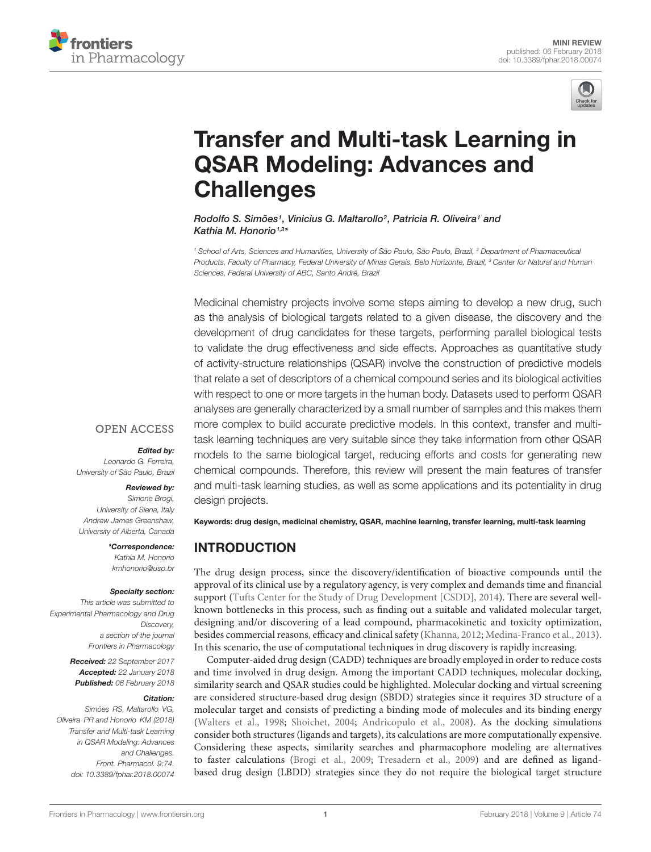



# [Transfer and Multi-task Learning in](https://www.frontiersin.org/articles/10.3389/fphar.2018.00074/full) QSAR Modeling: Advances and **Challenges**

Rodolfo S. Simões<sup>1</sup>, Vinicius G. Maltarollo<sup>2</sup>, Patricia R. Oliveira<sup>1</sup> and [Kathia M. Honorio](http://loop.frontiersin.org/people/415877/overview)1,3\*

<sup>1</sup> School of Arts, Sciences and Humanities, University of São Paulo, São Paulo, Brazil, <sup>2</sup> Department of Pharmaceutical Products, Faculty of Pharmacy, Federal University of Minas Gerais, Belo Horizonte, Brazil, <sup>3</sup> Center for Natural and Human Sciences, Federal University of ABC, Santo André, Brazil

Medicinal chemistry projects involve some steps aiming to develop a new drug, such as the analysis of biological targets related to a given disease, the discovery and the development of drug candidates for these targets, performing parallel biological tests to validate the drug effectiveness and side effects. Approaches as quantitative study of activity-structure relationships (QSAR) involve the construction of predictive models that relate a set of descriptors of a chemical compound series and its biological activities with respect to one or more targets in the human body. Datasets used to perform QSAR analyses are generally characterized by a small number of samples and this makes them more complex to build accurate predictive models. In this context, transfer and multitask learning techniques are very suitable since they take information from other QSAR models to the same biological target, reducing efforts and costs for generating new chemical compounds. Therefore, this review will present the main features of transfer and multi-task learning studies, as well as some applications and its potentiality in drug design projects.

Edited by:

**OPEN ACCESS** 

Leonardo G. Ferreira, University of São Paulo, Brazil

### Reviewed by:

Simone Brogi, University of Siena, Italy Andrew James Greenshaw, University of Alberta, Canada

> \*Correspondence: Kathia M. Honorio kmhonorio@usp.br

#### Specialty section:

This article was submitted to Experimental Pharmacology and Drug Discovery, a section of the journal Frontiers in Pharmacology

> Received: 22 September 2017 Accepted: 22 January 2018 Published: 06 February 2018

#### Citation:

Simões RS, Maltarollo VG, Oliveira PR and Honorio KM (2018) Transfer and Multi-task Learning in QSAR Modeling: Advances and Challenges. Front. Pharmacol. 9:74. doi: [10.3389/fphar.2018.00074](https://doi.org/10.3389/fphar.2018.00074)

Keywords: drug design, medicinal chemistry, QSAR, machine learning, transfer learning, multi-task learning

# INTRODUCTION

The drug design process, since the discovery/identification of bioactive compounds until the approval of its clinical use by a regulatory agency, is very complex and demands time and financial support [\(Tufts Center for the Study of Drug Development \[CSDD\],](#page-6-0) [2014\)](#page-6-0). There are several wellknown bottlenecks in this process, such as finding out a suitable and validated molecular target, designing and/or discovering of a lead compound, pharmacokinetic and toxicity optimization, besides commercial reasons, efficacy and clinical safety [\(Khanna,](#page-5-0) [2012;](#page-5-0) [Medina-Franco et al.,](#page-5-1) [2013\)](#page-5-1). In this scenario, the use of computational techniques in drug discovery is rapidly increasing.

Computer-aided drug design (CADD) techniques are broadly employed in order to reduce costs and time involved in drug design. Among the important CADD techniques, molecular docking, similarity search and QSAR studies could be highlighted. Molecular docking and virtual screening are considered structure-based drug design (SBDD) strategies since it requires 3D structure of a molecular target and consists of predicting a binding mode of molecules and its binding energy [\(Walters et al.,](#page-6-1) [1998;](#page-6-1) [Shoichet,](#page-6-2) [2004;](#page-6-2) [Andricopulo et al.,](#page-5-2) [2008\)](#page-5-2). As the docking simulations consider both structures (ligands and targets), its calculations are more computationally expensive. Considering these aspects, similarity searches and pharmacophore modeling are alternatives to faster calculations [\(Brogi et al.,](#page-5-3) [2009;](#page-5-3) [Tresadern et al.,](#page-6-3) [2009\)](#page-6-3) and are defined as ligandbased drug design (LBDD) strategies since they do not require the biological target structure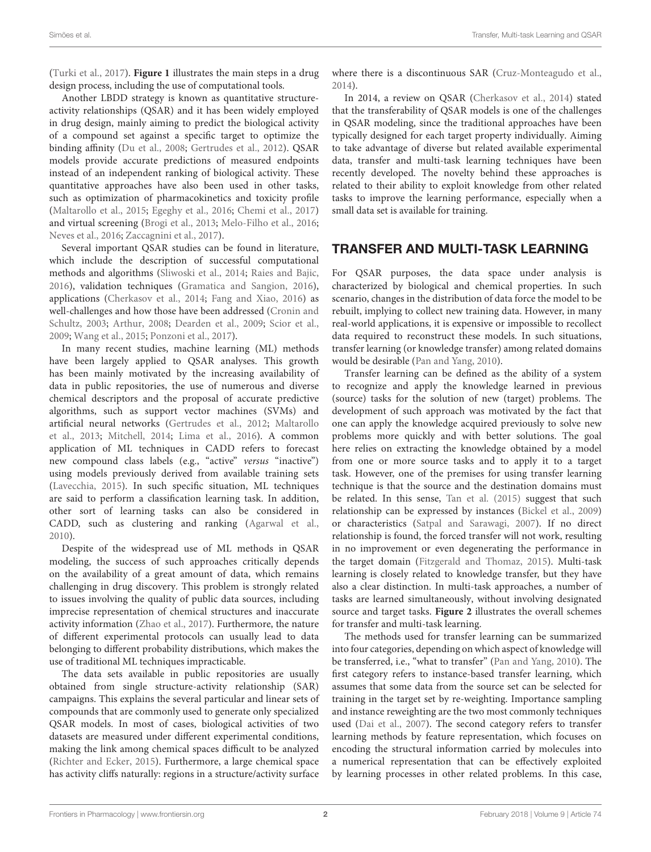[\(Turki et al.,](#page-6-4) [2017\)](#page-6-4). **[Figure 1](#page-2-0)** illustrates the main steps in a drug design process, including the use of computational tools.

Another LBDD strategy is known as quantitative structureactivity relationships (QSAR) and it has been widely employed in drug design, mainly aiming to predict the biological activity of a compound set against a specific target to optimize the binding affinity [\(Du et al.,](#page-5-4) [2008;](#page-5-4) [Gertrudes et al.,](#page-5-5) [2012\)](#page-5-5). QSAR models provide accurate predictions of measured endpoints instead of an independent ranking of biological activity. These quantitative approaches have also been used in other tasks, such as optimization of pharmacokinetics and toxicity profile [\(Maltarollo et al.,](#page-5-6) [2015;](#page-5-6) [Egeghy et al.,](#page-5-7) [2016;](#page-5-7) [Chemi et al.,](#page-5-8) [2017\)](#page-5-8) and virtual screening [\(Brogi et al.,](#page-5-9) [2013;](#page-5-9) [Melo-Filho et al.,](#page-5-10) [2016;](#page-5-10) [Neves et al.,](#page-6-5) [2016;](#page-6-5) [Zaccagnini et al.,](#page-6-6) [2017\)](#page-6-6).

Several important QSAR studies can be found in literature, which include the description of successful computational methods and algorithms [\(Sliwoski et al.,](#page-6-7) [2014;](#page-6-7) [Raies and Bajic,](#page-6-8) [2016\)](#page-6-8), validation techniques [\(Gramatica and Sangion,](#page-5-11) [2016\)](#page-5-11), applications [\(Cherkasov et al.,](#page-5-12) [2014;](#page-5-12) [Fang and Xiao,](#page-5-13) [2016\)](#page-5-13) as well-challenges and how those have been addressed [\(Cronin and](#page-5-14) [Schultz,](#page-5-14) [2003;](#page-5-14) [Arthur,](#page-5-15) [2008;](#page-5-15) [Dearden et al.,](#page-5-16) [2009;](#page-5-16) [Scior et al.,](#page-6-9) [2009;](#page-6-9) [Wang et al.,](#page-6-10) [2015;](#page-6-10) [Ponzoni et al.,](#page-6-11) [2017\)](#page-6-11).

In many recent studies, machine learning (ML) methods have been largely applied to QSAR analyses. This growth has been mainly motivated by the increasing availability of data in public repositories, the use of numerous and diverse chemical descriptors and the proposal of accurate predictive algorithms, such as support vector machines (SVMs) and artificial neural networks [\(Gertrudes et al.,](#page-5-5) [2012;](#page-5-5) [Maltarollo](#page-5-17) [et al.,](#page-5-17) [2013;](#page-5-17) [Mitchell,](#page-5-18) [2014;](#page-5-18) [Lima et al.,](#page-5-19) [2016\)](#page-5-19). A common application of ML techniques in CADD refers to forecast new compound class labels (e.g., "active" versus "inactive") using models previously derived from available training sets [\(Lavecchia,](#page-5-20) [2015\)](#page-5-20). In such specific situation, ML techniques are said to perform a classification learning task. In addition, other sort of learning tasks can also be considered in CADD, such as clustering and ranking [\(Agarwal et al.,](#page-5-21) [2010\)](#page-5-21).

Despite of the widespread use of ML methods in QSAR modeling, the success of such approaches critically depends on the availability of a great amount of data, which remains challenging in drug discovery. This problem is strongly related to issues involving the quality of public data sources, including imprecise representation of chemical structures and inaccurate activity information [\(Zhao et al.,](#page-6-12) [2017\)](#page-6-12). Furthermore, the nature of different experimental protocols can usually lead to data belonging to different probability distributions, which makes the use of traditional ML techniques impracticable.

The data sets available in public repositories are usually obtained from single structure-activity relationship (SAR) campaigns. This explains the several particular and linear sets of compounds that are commonly used to generate only specialized QSAR models. In most of cases, biological activities of two datasets are measured under different experimental conditions, making the link among chemical spaces difficult to be analyzed [\(Richter and Ecker,](#page-6-13) [2015\)](#page-6-13). Furthermore, a large chemical space has activity cliffs naturally: regions in a structure/activity surface

where there is a discontinuous SAR [\(Cruz-Monteagudo et al.,](#page-5-22) [2014\)](#page-5-22).

In 2014, a review on QSAR [\(Cherkasov et al.,](#page-5-12) [2014\)](#page-5-12) stated that the transferability of QSAR models is one of the challenges in QSAR modeling, since the traditional approaches have been typically designed for each target property individually. Aiming to take advantage of diverse but related available experimental data, transfer and multi-task learning techniques have been recently developed. The novelty behind these approaches is related to their ability to exploit knowledge from other related tasks to improve the learning performance, especially when a small data set is available for training.

## TRANSFER AND MULTI-TASK LEARNING

For QSAR purposes, the data space under analysis is characterized by biological and chemical properties. In such scenario, changes in the distribution of data force the model to be rebuilt, implying to collect new training data. However, in many real-world applications, it is expensive or impossible to recollect data required to reconstruct these models. In such situations, transfer learning (or knowledge transfer) among related domains would be desirable [\(Pan and Yang,](#page-6-14) [2010\)](#page-6-14).

Transfer learning can be defined as the ability of a system to recognize and apply the knowledge learned in previous (source) tasks for the solution of new (target) problems. The development of such approach was motivated by the fact that one can apply the knowledge acquired previously to solve new problems more quickly and with better solutions. The goal here relies on extracting the knowledge obtained by a model from one or more source tasks and to apply it to a target task. However, one of the premises for using transfer learning technique is that the source and the destination domains must be related. In this sense, [Tan et al.](#page-6-15) [\(2015\)](#page-6-15) suggest that such relationship can be expressed by instances [\(Bickel et al.,](#page-5-23) [2009\)](#page-5-23) or characteristics [\(Satpal and Sarawagi,](#page-6-16) [2007\)](#page-6-16). If no direct relationship is found, the forced transfer will not work, resulting in no improvement or even degenerating the performance in the target domain [\(Fitzgerald and Thomaz,](#page-5-24) [2015\)](#page-5-24). Multi-task learning is closely related to knowledge transfer, but they have also a clear distinction. In multi-task approaches, a number of tasks are learned simultaneously, without involving designated source and target tasks. **[Figure 2](#page-3-0)** illustrates the overall schemes for transfer and multi-task learning.

The methods used for transfer learning can be summarized into four categories, depending on which aspect of knowledge will be transferred, i.e., "what to transfer" [\(Pan and Yang,](#page-6-14) [2010\)](#page-6-14). The first category refers to instance-based transfer learning, which assumes that some data from the source set can be selected for training in the target set by re-weighting. Importance sampling and instance reweighting are the two most commonly techniques used [\(Dai et al.,](#page-5-25) [2007\)](#page-5-25). The second category refers to transfer learning methods by feature representation, which focuses on encoding the structural information carried by molecules into a numerical representation that can be effectively exploited by learning processes in other related problems. In this case,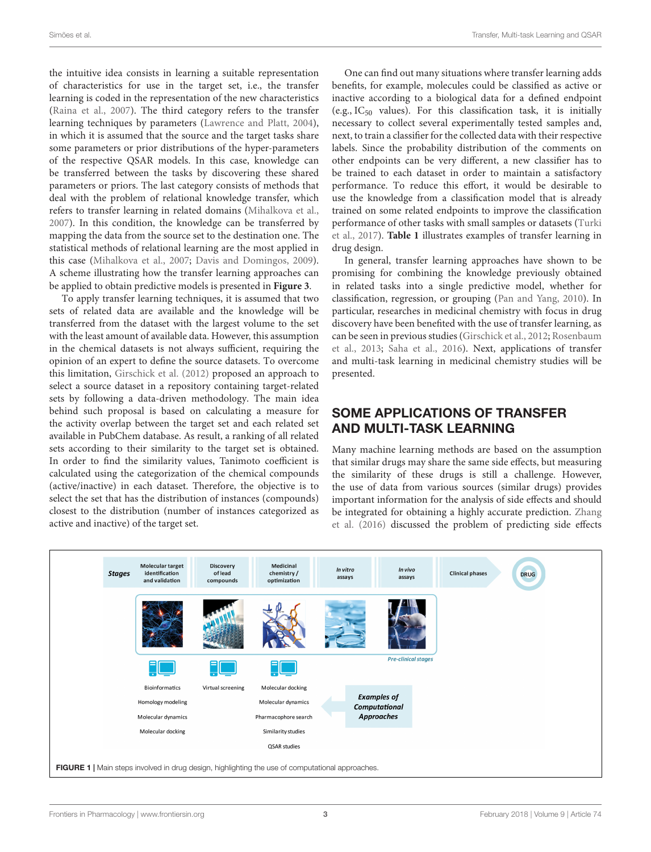the intuitive idea consists in learning a suitable representation of characteristics for use in the target set, i.e., the transfer learning is coded in the representation of the new characteristics [\(Raina et al.,](#page-6-17) [2007\)](#page-6-17). The third category refers to the transfer learning techniques by parameters [\(Lawrence and Platt,](#page-5-26) [2004\)](#page-5-26), in which it is assumed that the source and the target tasks share some parameters or prior distributions of the hyper-parameters of the respective QSAR models. In this case, knowledge can be transferred between the tasks by discovering these shared parameters or priors. The last category consists of methods that deal with the problem of relational knowledge transfer, which refers to transfer learning in related domains [\(Mihalkova et al.,](#page-5-27) [2007\)](#page-5-27). In this condition, the knowledge can be transferred by mapping the data from the source set to the destination one. The statistical methods of relational learning are the most applied in this case [\(Mihalkova et al.,](#page-5-27) [2007;](#page-5-27) [Davis and Domingos,](#page-5-28) [2009\)](#page-5-28). A scheme illustrating how the transfer learning approaches can be applied to obtain predictive models is presented in **[Figure 3](#page-3-1)**.

To apply transfer learning techniques, it is assumed that two sets of related data are available and the knowledge will be transferred from the dataset with the largest volume to the set with the least amount of available data. However, this assumption in the chemical datasets is not always sufficient, requiring the opinion of an expert to define the source datasets. To overcome this limitation, [Girschick et al.](#page-5-29) [\(2012\)](#page-5-29) proposed an approach to select a source dataset in a repository containing target-related sets by following a data-driven methodology. The main idea behind such proposal is based on calculating a measure for the activity overlap between the target set and each related set available in PubChem database. As result, a ranking of all related sets according to their similarity to the target set is obtained. In order to find the similarity values, Tanimoto coefficient is calculated using the categorization of the chemical compounds (active/inactive) in each dataset. Therefore, the objective is to select the set that has the distribution of instances (compounds) closest to the distribution (number of instances categorized as active and inactive) of the target set.

One can find out many situations where transfer learning adds benefits, for example, molecules could be classified as active or inactive according to a biological data for a defined endpoint (e.g.,  $IC_{50}$  values). For this classification task, it is initially necessary to collect several experimentally tested samples and, next, to train a classifier for the collected data with their respective labels. Since the probability distribution of the comments on other endpoints can be very different, a new classifier has to be trained to each dataset in order to maintain a satisfactory performance. To reduce this effort, it would be desirable to use the knowledge from a classification model that is already trained on some related endpoints to improve the classification performance of other tasks with small samples or datasets [\(Turki](#page-6-4) [et al.,](#page-6-4) [2017\)](#page-6-4). **[Table 1](#page-3-2)** illustrates examples of transfer learning in drug design.

In general, transfer learning approaches have shown to be promising for combining the knowledge previously obtained in related tasks into a single predictive model, whether for classification, regression, or grouping [\(Pan and Yang,](#page-6-14) [2010\)](#page-6-14). In particular, researches in medicinal chemistry with focus in drug discovery have been benefited with the use of transfer learning, as can be seen in previous studies [\(Girschick et al.,](#page-5-29) [2012;](#page-5-29) [Rosenbaum](#page-6-18) [et al.,](#page-6-18) [2013;](#page-6-18) [Saha et al.,](#page-6-19) [2016\)](#page-6-19). Next, applications of transfer and multi-task learning in medicinal chemistry studies will be presented.

# SOME APPLICATIONS OF TRANSFER AND MULTI-TASK LEARNING

Many machine learning methods are based on the assumption that similar drugs may share the same side effects, but measuring the similarity of these drugs is still a challenge. However, the use of data from various sources (similar drugs) provides important information for the analysis of side effects and should be integrated for obtaining a highly accurate prediction. [Zhang](#page-6-20) [et al.](#page-6-20) [\(2016\)](#page-6-20) discussed the problem of predicting side effects

<span id="page-2-0"></span>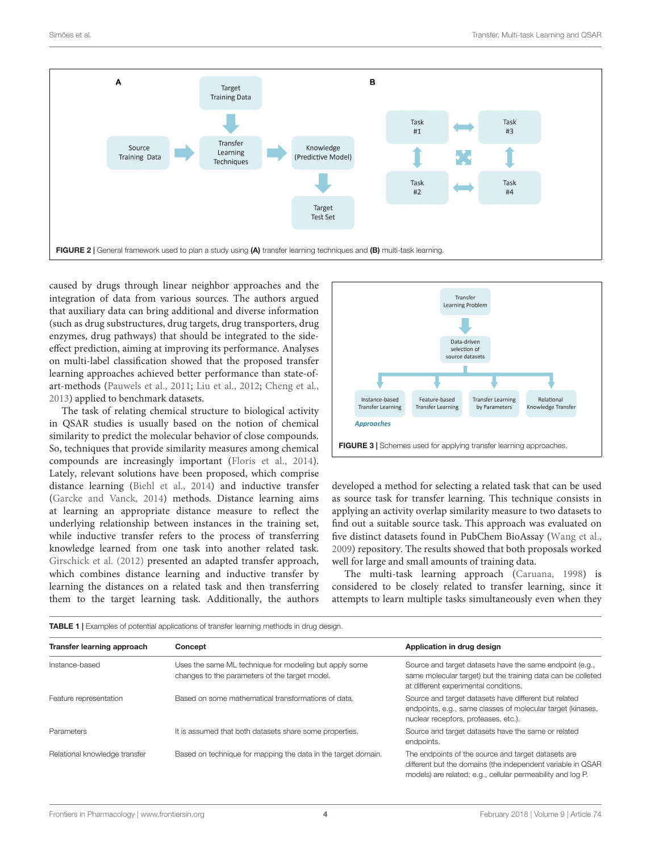

<span id="page-3-0"></span>caused by drugs through linear neighbor approaches and the integration of data from various sources. The authors argued that auxiliary data can bring additional and diverse information (such as drug substructures, drug targets, drug transporters, drug enzymes, drug pathways) that should be integrated to the sideeffect prediction, aiming at improving its performance. Analyses on multi-label classification showed that the proposed transfer learning approaches achieved better performance than state-ofart-methods [\(Pauwels et al.,](#page-6-21) [2011;](#page-6-21) [Liu et al.,](#page-5-30) [2012;](#page-5-30) [Cheng et al.,](#page-5-31) [2013\)](#page-5-31) applied to benchmark datasets.

The task of relating chemical structure to biological activity in QSAR studies is usually based on the notion of chemical similarity to predict the molecular behavior of close compounds. So, techniques that provide similarity measures among chemical compounds are increasingly important [\(Floris et al.,](#page-5-32) [2014\)](#page-5-32). Lately, relevant solutions have been proposed, which comprise distance learning [\(Biehl et al.,](#page-5-33) [2014\)](#page-5-33) and inductive transfer [\(Garcke and Vanck,](#page-5-34) [2014\)](#page-5-34) methods. Distance learning aims at learning an appropriate distance measure to reflect the underlying relationship between instances in the training set, while inductive transfer refers to the process of transferring knowledge learned from one task into another related task. [Girschick et al.](#page-5-29) [\(2012\)](#page-5-29) presented an adapted transfer approach, which combines distance learning and inductive transfer by learning the distances on a related task and then transferring them to the target learning task. Additionally, the authors



<span id="page-3-1"></span>developed a method for selecting a related task that can be used as source task for transfer learning. This technique consists in applying an activity overlap similarity measure to two datasets to find out a suitable source task. This approach was evaluated on five distinct datasets found in PubChem BioAssay [\(Wang et al.,](#page-6-22) [2009\)](#page-6-22) repository. The results showed that both proposals worked well for large and small amounts of training data.

The multi-task learning approach [\(Caruana,](#page-5-35) [1998\)](#page-5-35) is considered to be closely related to transfer learning, since it attempts to learn multiple tasks simultaneously even when they

| Transfer learning approach    | Concept                                                                                                  | Application in drug design                                                                                                                                                        |
|-------------------------------|----------------------------------------------------------------------------------------------------------|-----------------------------------------------------------------------------------------------------------------------------------------------------------------------------------|
| Instance-based                | Uses the same ML technique for modeling but apply some<br>changes to the parameters of the target model. | Source and target datasets have the same endpoint (e.g.,<br>same molecular target) but the training data can be colleted<br>at different experimental conditions.                 |
| Feature representation        | Based on some mathematical transformations of data.                                                      | Source and target datasets have different but related<br>endpoints, e.g., same classes of molecular target (kinases,<br>nuclear receptors, proteases, etc.).                      |
| <b>Parameters</b>             | It is assumed that both datasets share some properties.                                                  | Source and target datasets have the same or related<br>endpoints.                                                                                                                 |
| Relational knowledge transfer | Based on technique for mapping the data in the target domain.                                            | The endpoints of the source and target datasets are<br>different but the domains (the independent variable in QSAR<br>models) are related; e.g., cellular permeability and log P. |

<span id="page-3-2"></span>TABLE 1 | Examples of potential applications of transfer learning methods in drug design.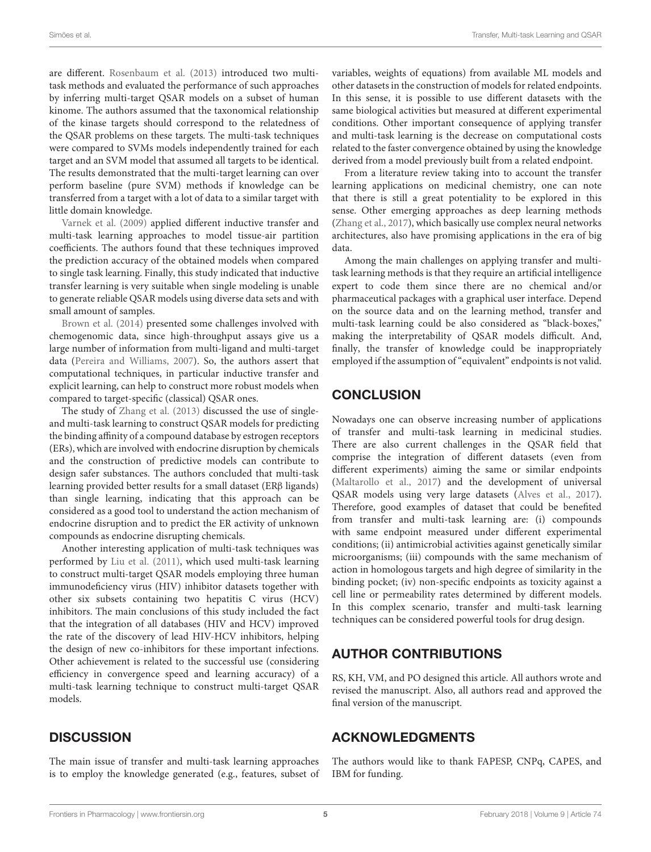are different. [Rosenbaum et al.](#page-6-18) [\(2013\)](#page-6-18) introduced two multitask methods and evaluated the performance of such approaches by inferring multi-target QSAR models on a subset of human kinome. The authors assumed that the taxonomical relationship of the kinase targets should correspond to the relatedness of the QSAR problems on these targets. The multi-task techniques were compared to SVMs models independently trained for each target and an SVM model that assumed all targets to be identical. The results demonstrated that the multi-target learning can over perform baseline (pure SVM) methods if knowledge can be transferred from a target with a lot of data to a similar target with little domain knowledge.

[Varnek et al.](#page-6-23) [\(2009\)](#page-6-23) applied different inductive transfer and multi-task learning approaches to model tissue-air partition coefficients. The authors found that these techniques improved the prediction accuracy of the obtained models when compared to single task learning. Finally, this study indicated that inductive transfer learning is very suitable when single modeling is unable to generate reliable QSAR models using diverse data sets and with small amount of samples.

[Brown et al.](#page-5-36) [\(2014\)](#page-5-36) presented some challenges involved with chemogenomic data, since high-throughput assays give us a large number of information from multi-ligand and multi-target data [\(Pereira and Williams,](#page-6-24) [2007\)](#page-6-24). So, the authors assert that computational techniques, in particular inductive transfer and explicit learning, can help to construct more robust models when compared to target-specific (classical) QSAR ones.

The study of [Zhang et al.](#page-6-25) [\(2013\)](#page-6-25) discussed the use of singleand multi-task learning to construct QSAR models for predicting the binding affinity of a compound database by estrogen receptors (ERs), which are involved with endocrine disruption by chemicals and the construction of predictive models can contribute to design safer substances. The authors concluded that multi-task learning provided better results for a small dataset (ERβ ligands) than single learning, indicating that this approach can be considered as a good tool to understand the action mechanism of endocrine disruption and to predict the ER activity of unknown compounds as endocrine disrupting chemicals.

Another interesting application of multi-task techniques was performed by [Liu et al.](#page-5-37) [\(2011\)](#page-5-37), which used multi-task learning to construct multi-target QSAR models employing three human immunodeficiency virus (HIV) inhibitor datasets together with other six subsets containing two hepatitis C virus (HCV) inhibitors. The main conclusions of this study included the fact that the integration of all databases (HIV and HCV) improved the rate of the discovery of lead HIV-HCV inhibitors, helping the design of new co-inhibitors for these important infections. Other achievement is related to the successful use (considering efficiency in convergence speed and learning accuracy) of a multi-task learning technique to construct multi-target QSAR models.

variables, weights of equations) from available ML models and other datasets in the construction of models for related endpoints. In this sense, it is possible to use different datasets with the same biological activities but measured at different experimental conditions. Other important consequence of applying transfer and multi-task learning is the decrease on computational costs related to the faster convergence obtained by using the knowledge derived from a model previously built from a related endpoint.

From a literature review taking into to account the transfer learning applications on medicinal chemistry, one can note that there is still a great potentiality to be explored in this sense. Other emerging approaches as deep learning methods [\(Zhang et al.,](#page-6-26) [2017\)](#page-6-26), which basically use complex neural networks architectures, also have promising applications in the era of big data.

Among the main challenges on applying transfer and multitask learning methods is that they require an artificial intelligence expert to code them since there are no chemical and/or pharmaceutical packages with a graphical user interface. Depend on the source data and on the learning method, transfer and multi-task learning could be also considered as "black-boxes," making the interpretability of QSAR models difficult. And, finally, the transfer of knowledge could be inappropriately employed if the assumption of "equivalent" endpoints is not valid.

# **CONCLUSION**

Nowadays one can observe increasing number of applications of transfer and multi-task learning in medicinal studies. There are also current challenges in the QSAR field that comprise the integration of different datasets (even from different experiments) aiming the same or similar endpoints [\(Maltarollo et al.,](#page-5-38) [2017\)](#page-5-38) and the development of universal QSAR models using very large datasets [\(Alves et al.,](#page-5-39) [2017\)](#page-5-39). Therefore, good examples of dataset that could be benefited from transfer and multi-task learning are: (i) compounds with same endpoint measured under different experimental conditions; (ii) antimicrobial activities against genetically similar microorganisms; (iii) compounds with the same mechanism of action in homologous targets and high degree of similarity in the binding pocket; (iv) non-specific endpoints as toxicity against a cell line or permeability rates determined by different models. In this complex scenario, transfer and multi-task learning techniques can be considered powerful tools for drug design.

# AUTHOR CONTRIBUTIONS

RS, KH, VM, and PO designed this article. All authors wrote and revised the manuscript. Also, all authors read and approved the final version of the manuscript.

## ACKNOWLEDGMENTS

The main issue of transfer and multi-task learning approaches is to employ the knowledge generated (e.g., features, subset of The authors would like to thank FAPESP, CNPq, CAPES, and IBM for funding.

**DISCUSSION**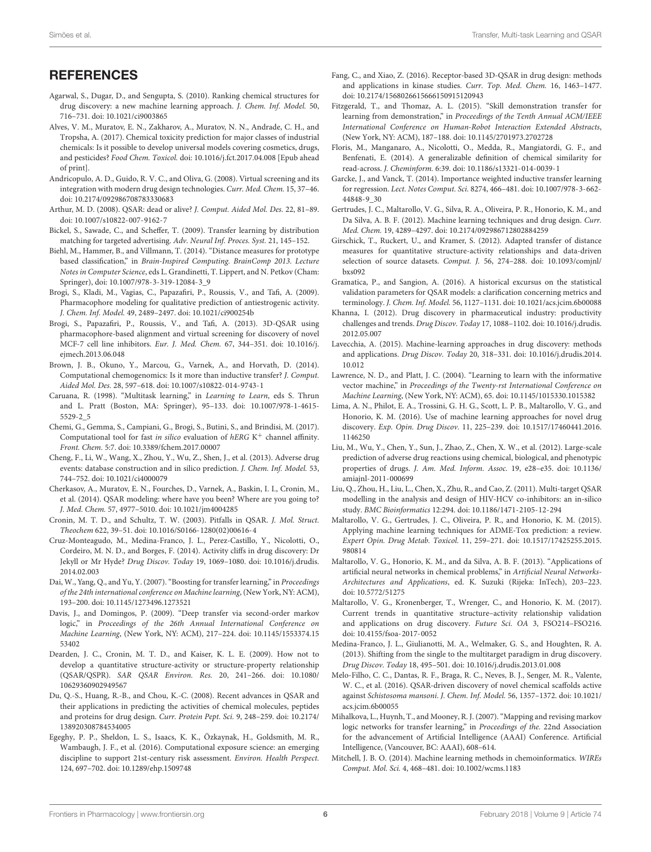# **REFERENCES**

- <span id="page-5-21"></span>Agarwal, S., Dugar, D., and Sengupta, S. (2010). Ranking chemical structures for drug discovery: a new machine learning approach. J. Chem. Inf. Model. 50, 716–731. [doi: 10.1021/ci9003865](https://doi.org/10.1021/ci9003865)
- <span id="page-5-39"></span>Alves, V. M., Muratov, E. N., Zakharov, A., Muratov, N. N., Andrade, C. H., and Tropsha, A. (2017). Chemical toxicity prediction for major classes of industrial chemicals: Is it possible to develop universal models covering cosmetics, drugs, and pesticides? Food Chem. Toxicol. [doi: 10.1016/j.fct.2017.04.008](https://doi.org/10.1016/j.fct.2017.04.008) [Epub ahead of print].
- <span id="page-5-2"></span>Andricopulo, A. D., Guido, R. V. C., and Oliva, G. (2008). Virtual screening and its integration with modern drug design technologies. Curr. Med. Chem. 15, 37–46. [doi: 10.2174/092986708783330683](https://doi.org/10.2174/092986708783330683)
- <span id="page-5-15"></span>Arthur, M. D. (2008). QSAR: dead or alive? J. Comput. Aided Mol. Des. 22, 81–89. [doi: 10.1007/s10822-007-9162-7](https://doi.org/10.1007/s10822-007-9162-7)
- <span id="page-5-23"></span>Bickel, S., Sawade, C., and Scheffer, T. (2009). Transfer learning by distribution matching for targeted advertising. Adv. Neural Inf. Proces. Syst. 21, 145–152.
- <span id="page-5-33"></span>Biehl, M., Hammer, B., and Villmann, T. (2014). "Distance measures for prototype based classification," in Brain-Inspired Computing. BrainComp 2013. Lecture Notes in Computer Science, eds L. Grandinetti, T. Lippert, and N. Petkov (Cham: Springer), [doi: 10.1007/978-3-319-12084-3\\_9](https://doi.org/10.1007/978-3-319-12084-3_9)
- <span id="page-5-3"></span>Brogi, S., Kladi, M., Vagias, C., Papazafiri, P., Roussis, V., and Tafi, A. (2009). Pharmacophore modeling for qualitative prediction of antiestrogenic activity. J. Chem. Inf. Model. 49, 2489–2497. [doi: 10.1021/ci900254b](https://doi.org/10.1021/ci900254b)
- <span id="page-5-9"></span>Brogi, S., Papazafiri, P., Roussis, V., and Tafi, A. (2013). 3D-QSAR using pharmacophore-based alignment and virtual screening for discovery of novel MCF-7 cell line inhibitors. Eur. J. Med. Chem. 67, 344–351. [doi: 10.1016/j.](https://doi.org/10.1016/j.ejmech.2013.06.048) [ejmech.2013.06.048](https://doi.org/10.1016/j.ejmech.2013.06.048)
- <span id="page-5-36"></span>Brown, J. B., Okuno, Y., Marcou, G., Varnek, A., and Horvath, D. (2014). Computational chemogenomics: Is it more than inductive transfer? J. Comput. Aided Mol. Des. 28, 597–618. [doi: 10.1007/s10822-014-9743-1](https://doi.org/10.1007/s10822-014-9743-1)
- <span id="page-5-35"></span>Caruana, R. (1998). "Multitask learning," in Learning to Learn, eds S. Thrun and L. Pratt (Boston, MA: Springer), 95–133. [doi: 10.1007/978-1-4615-](https://doi.org/10.1007/978-1-4615-5529-2_5) [5529-2\\_5](https://doi.org/10.1007/978-1-4615-5529-2_5)
- <span id="page-5-8"></span>Chemi, G., Gemma, S., Campiani, G., Brogi, S., Butini, S., and Brindisi, M. (2017). Computational tool for fast in silico evaluation of  $hERG K^+$  channel affinity. Front. Chem. 5:7. [doi: 10.3389/fchem.2017.00007](https://doi.org/10.3389/fchem.2017.00007)
- <span id="page-5-31"></span>Cheng, F., Li, W., Wang, X., Zhou, Y., Wu, Z., Shen, J., et al. (2013). Adverse drug events: database construction and in silico prediction. J. Chem. Inf. Model. 53, 744–752. [doi: 10.1021/ci4000079](https://doi.org/10.1021/ci4000079)
- <span id="page-5-12"></span>Cherkasov, A., Muratov, E. N., Fourches, D., Varnek, A., Baskin, I. I., Cronin, M., et al. (2014). QSAR modeling: where have you been? Where are you going to? J. Med. Chem. 57, 4977–5010. [doi: 10.1021/jm4004285](https://doi.org/10.1021/jm4004285)
- <span id="page-5-14"></span>Cronin, M. T. D., and Schultz, T. W. (2003). Pitfalls in QSAR. J. Mol. Struct. Theochem 622, 39–51. [doi: 10.1016/S0166-1280\(02\)00616-4](https://doi.org/10.1016/S0166-1280(02)00616-4)
- <span id="page-5-22"></span>Cruz-Monteagudo, M., Medina-Franco, J. L., Perez-Castillo, Y., Nicolotti, O., Cordeiro, M. N. D., and Borges, F. (2014). Activity cliffs in drug discovery: Dr Jekyll or Mr Hyde? Drug Discov. Today 19, 1069–1080. [doi: 10.1016/j.drudis.](https://doi.org/10.1016/j.drudis.2014.02.003) [2014.02.003](https://doi.org/10.1016/j.drudis.2014.02.003)
- <span id="page-5-25"></span>Dai, W., Yang, Q., and Yu, Y. (2007). "Boosting for transfer learning," in Proceedings of the 24th international conference on Machine learning, (New York, NY: ACM), 193–200. [doi: 10.1145/1273496.1273521](https://doi.org/10.1145/1273496.1273521)
- <span id="page-5-28"></span>Davis, J., and Domingos, P. (2009). "Deep transfer via second-order markov logic," in Proceedings of the 26th Annual International Conference on Machine Learning, (New York, NY: ACM), 217–224. [doi: 10.1145/1553374.15](https://doi.org/10.1145/1553374.1553402) [53402](https://doi.org/10.1145/1553374.1553402)
- <span id="page-5-16"></span>Dearden, J. C., Cronin, M. T. D., and Kaiser, K. L. E. (2009). How not to develop a quantitative structure-activity or structure-property relationship (QSAR/QSPR). SAR QSAR Environ. Res. 20, 241–266. [doi: 10.1080/](https://doi.org/10.1080/10629360902949567) [10629360902949567](https://doi.org/10.1080/10629360902949567)
- <span id="page-5-4"></span>Du, Q.-S., Huang, R.-B., and Chou, K.-C. (2008). Recent advances in QSAR and their applications in predicting the activities of chemical molecules, peptides and proteins for drug design. Curr. Protein Pept. Sci. 9, 248–259. [doi: 10.2174/](https://doi.org/10.2174/138920308784534005) [138920308784534005](https://doi.org/10.2174/138920308784534005)
- <span id="page-5-7"></span>Egeghy, P. P., Sheldon, L. S., Isaacs, K. K., Özkaynak, H., Goldsmith, M. R., Wambaugh, J. F., et al. (2016). Computational exposure science: an emerging discipline to support 21st-century risk assessment. Environ. Health Perspect. 124, 697–702. [doi: 10.1289/ehp.1509748](https://doi.org/10.1289/ehp.1509748)
- <span id="page-5-13"></span>Fang, C., and Xiao, Z. (2016). Receptor-based 3D-QSAR in drug design: methods and applications in kinase studies. Curr. Top. Med. Chem. 16, 1463–1477. [doi: 10.2174/1568026615666150915120943](https://doi.org/10.2174/1568026615666150915120943)
- <span id="page-5-24"></span>Fitzgerald, T., and Thomaz, A. L. (2015). "Skill demonstration transfer for learning from demonstration," in Proceedings of the Tenth Annual ACM/IEEE International Conference on Human-Robot Interaction Extended Abstracts, (New York, NY: ACM), 187–188. [doi: 10.1145/2701973.2702728](https://doi.org/10.1145/2701973.2702728)
- <span id="page-5-32"></span>Floris, M., Manganaro, A., Nicolotti, O., Medda, R., Mangiatordi, G. F., and Benfenati, E. (2014). A generalizable definition of chemical similarity for read-across. J. Cheminform. 6:39. [doi: 10.1186/s13321-014-0039-1](https://doi.org/10.1186/s13321-014-0039-1)
- <span id="page-5-34"></span>Garcke, J., and Vanck, T. (2014). Importance weighted inductive transfer learning for regression. Lect. Notes Comput. Sci. 8274, 466–481. [doi: 10.1007/978-3-662-](https://doi.org/10.1007/978-3-662-44848-9_30) [44848-9\\_30](https://doi.org/10.1007/978-3-662-44848-9_30)
- <span id="page-5-5"></span>Gertrudes, J. C., Maltarollo, V. G., Silva, R. A., Oliveira, P. R., Honorio, K. M., and Da Silva, A. B. F. (2012). Machine learning techniques and drug design. Curr. Med. Chem. 19, 4289–4297. [doi: 10.2174/092986712802884259](https://doi.org/10.2174/092986712802884259)
- <span id="page-5-29"></span>Girschick, T., Ruckert, U., and Kramer, S. (2012). Adapted transfer of distance measures for quantitative structure-activity relationships and data-driven selection of source datasets. Comput. J. 56, 274–288. [doi: 10.1093/comjnl/](https://doi.org/10.1093/comjnl/bxs092) [bxs092](https://doi.org/10.1093/comjnl/bxs092)
- <span id="page-5-11"></span>Gramatica, P., and Sangion, A. (2016). A historical excursus on the statistical validation parameters for QSAR models: a clarification concerning metrics and terminology. J. Chem. Inf. Model. 56, 1127–1131. [doi: 10.1021/acs.jcim.6b00088](https://doi.org/10.1021/acs.jcim.6b00088)
- <span id="page-5-0"></span>Khanna, I. (2012). Drug discovery in pharmaceutical industry: productivity challenges and trends. Drug Discov. Today 17, 1088–1102. [doi: 10.1016/j.drudis.](https://doi.org/10.1016/j.drudis.2012.05.007) [2012.05.007](https://doi.org/10.1016/j.drudis.2012.05.007)
- <span id="page-5-20"></span>Lavecchia, A. (2015). Machine-learning approaches in drug discovery: methods and applications. Drug Discov. Today 20, 318–331. [doi: 10.1016/j.drudis.2014.](https://doi.org/10.1016/j.drudis.2014.10.012) [10.012](https://doi.org/10.1016/j.drudis.2014.10.012)
- <span id="page-5-26"></span>Lawrence, N. D., and Platt, J. C. (2004). "Learning to learn with the informative vector machine," in Proceedings of the Twenty-rst International Conference on Machine Learning, (New York, NY: ACM), 65. [doi: 10.1145/1015330.1015382](https://doi.org/10.1145/1015330.1015382)
- <span id="page-5-19"></span>Lima, A. N., Philot, E. A., Trossini, G. H. G., Scott, L. P. B., Maltarollo, V. G., and Honorio, K. M. (2016). Use of machine learning approaches for novel drug discovery. Exp. Opin. Drug Discov. 11, 225–239. [doi: 10.1517/17460441.2016.](https://doi.org/10.1517/17460441.2016.1146250) [1146250](https://doi.org/10.1517/17460441.2016.1146250)
- <span id="page-5-30"></span>Liu, M., Wu, Y., Chen, Y., Sun, J., Zhao, Z., Chen, X. W., et al. (2012). Large-scale prediction of adverse drug reactions using chemical, biological, and phenotypic properties of drugs. J. Am. Med. Inform. Assoc. 19, e28–e35. [doi: 10.1136/](https://doi.org/10.1136/amiajnl-2011-000699) [amiajnl-2011-000699](https://doi.org/10.1136/amiajnl-2011-000699)
- <span id="page-5-37"></span>Liu, Q., Zhou, H., Liu, L., Chen, X., Zhu, R., and Cao, Z. (2011). Multi-target QSAR modelling in the analysis and design of HIV-HCV co-inhibitors: an in-silico study. BMC Bioinformatics 12:294. [doi: 10.1186/1471-2105-12-294](https://doi.org/10.1186/1471-2105-12-294)
- <span id="page-5-6"></span>Maltarollo, V. G., Gertrudes, J. C., Oliveira, P. R., and Honorio, K. M. (2015). Applying machine learning techniques for ADME-Tox prediction: a review. Expert Opin. Drug Metab. Toxicol. 11, 259–271. [doi: 10.1517/17425255.2015.](https://doi.org/10.1517/17425255.2015.980814) [980814](https://doi.org/10.1517/17425255.2015.980814)
- <span id="page-5-17"></span>Maltarollo, V. G., Honorio, K. M., and da Silva, A. B. F. (2013). "Applications of artificial neural networks in chemical problems," in Artificial Neural Networks-Architectures and Applications, ed. K. Suzuki (Rijeka: InTech), 203–223. [doi: 10.5772/51275](https://doi.org/10.5772/51275)
- <span id="page-5-38"></span>Maltarollo, V. G., Kronenberger, T., Wrenger, C., and Honorio, K. M. (2017). Current trends in quantitative structure–activity relationship validation and applications on drug discovery. Future Sci. OA 3, FSO214–FSO216. [doi: 10.4155/fsoa-2017-0052](https://doi.org/10.4155/fsoa-2017-0052)
- <span id="page-5-1"></span>Medina-Franco, J. L., Giulianotti, M. A., Welmaker, G. S., and Houghten, R. A. (2013). Shifting from the single to the multitarget paradigm in drug discovery. Drug Discov. Today 18, 495–501. [doi: 10.1016/j.drudis.2013.01.008](https://doi.org/10.1016/j.drudis.2013.01.008)
- <span id="page-5-10"></span>Melo-Filho, C. C., Dantas, R. F., Braga, R. C., Neves, B. J., Senger, M. R., Valente, W. C., et al. (2016). QSAR-driven discovery of novel chemical scaffolds active against Schistosoma mansoni. J. Chem. Inf. Model. 56, 1357–1372. [doi: 10.1021/](https://doi.org/10.1021/acs.jcim.6b00055) [acs.jcim.6b00055](https://doi.org/10.1021/acs.jcim.6b00055)
- <span id="page-5-27"></span>Mihalkova, L., Huynh, T., and Mooney, R. J. (2007). "Mapping and revising markov logic networks for transfer learning," in Proceedings of the. 22nd Association for the advancement of Artificial Intelligence (AAAI) Conference. Artificial Intelligence, (Vancouver, BC: AAAI), 608–614.
- <span id="page-5-18"></span>Mitchell, J. B. O. (2014). Machine learning methods in chemoinformatics. WIREs Comput. Mol. Sci. 4, 468–481. [doi: 10.1002/wcms.1183](https://doi.org/10.1002/wcms.1183)